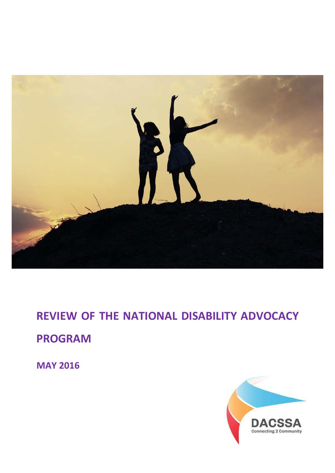

**REVIEW OF THE NATIONAL DISABILITY ADVOCACY PROGRAM**

**MAY 2016**

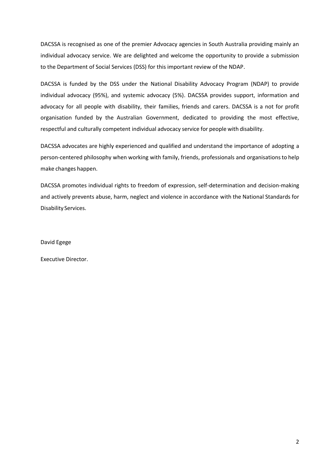DACSSA is recognised as one of the premier Advocacy agencies in South Australia providing mainly an individual advocacy service. We are delighted and welcome the opportunity to provide a submission to the Department of Social Services (DSS) for this important review of the NDAP.

DACSSA is funded by the DSS under the National Disability Advocacy Program (NDAP) to provide individual advocacy (95%), and systemic advocacy (5%). DACSSA provides support, information and advocacy for all people with disability, their families, friends and carers. DACSSA is a not for profit organisation funded by the Australian Government, dedicated to providing the most effective, respectful and culturally competent individual advocacy service for people with disability.

DACSSA advocates are highly experienced and qualified and understand the importance of adopting a person-centered philosophy when working with family, friends, professionals and organisationsto help make changes happen.

DACSSA promotes individual rights to freedom of expression, self-determination and decision-making and actively prevents abuse, harm, neglect and violence in accordance with the National Standards for Disability Services.

David Egege

Executive Director.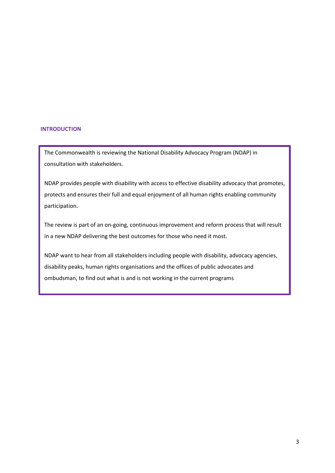## **INTRODUCTION**

The Commonwealth is reviewing the National Disability Advocacy Program (NDAP) in consultation with stakeholders.

NDAP provides people with disability with access to effective disability advocacy that promotes, protects and ensures their full and equal enjoyment of all human rights enabling community participation.

The review is part of an on-going, continuous improvement and reform process that will result in a new NDAP delivering the best outcomes for those who need it most.

NDAP want to hear from all stakeholders including people with disability, advocacy agencies, disability peaks, human rights organisations and the offices of public advocates and ombudsman, to find out what is and is not working in the current programs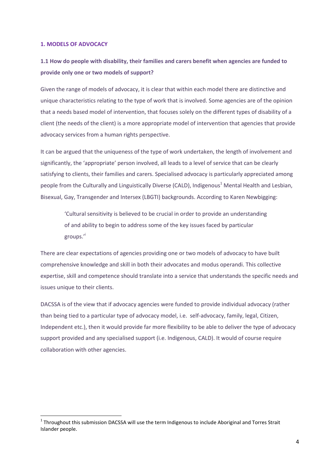## **1. MODELS OF ADVOCACY**

**.** 

# **1.1 How do people with disability, their families and carers benefit when agencies are funded to provide only one or two models of support?**

Given the range of models of advocacy, it is clear that within each model there are distinctive and unique characteristics relating to the type of work that is involved. Some agencies are of the opinion that a needs based model of intervention, that focuses solely on the different types of disability of a client (the needs of the client) is a more appropriate model of intervention that agencies that provide advocacy services from a human rights perspective.

It can be argued that the uniqueness of the type of work undertaken, the length of involvement and significantly, the 'appropriate' person involved, all leads to a level of service that can be clearly satisfying to clients, their families and carers. Specialised advocacy is particularly appreciated among people from the Culturally and Linguistically Diverse (CALD), Indigenous<sup>1</sup> Mental Health and Lesbian, Bisexual, Gay, Transgender and Intersex (LBGTI) backgrounds. According to Karen Newbigging:

'Cultural sensitivity is believed to be crucial in order to provide an understanding of and ability to begin to address some of the key issues faced by particular groups.'<sup>i</sup>

There are clear expectations of agencies providing one or two models of advocacy to have built comprehensive knowledge and skill in both their advocates and modus operandi. This collective expertise, skill and competence should translate into a service that understands the specific needs and issues unique to their clients.

DACSSA is of the view that if advocacy agencies were funded to provide individual advocacy (rather than being tied to a particular type of advocacy model, i.e. self-advocacy, family, legal, Citizen, Independent etc.), then it would provide far more flexibility to be able to deliver the type of advocacy support provided and any specialised support (i.e. Indigenous, CALD). It would of course require collaboration with other agencies.

 $1$  Throughout this submission DACSSA will use the term Indigenous to include Aboriginal and Torres Strait Islander people.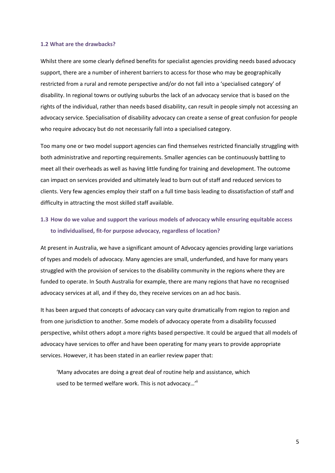#### **1.2 What are the drawbacks?**

Whilst there are some clearly defined benefits for specialist agencies providing needs based advocacy support, there are a number of inherent barriers to access for those who may be geographically restricted from a rural and remote perspective and/or do not fall into a 'specialised category' of disability. In regional towns or outlying suburbs the lack of an advocacy service that is based on the rights of the individual, rather than needs based disability, can result in people simply not accessing an advocacy service. Specialisation of disability advocacy can create a sense of great confusion for people who require advocacy but do not necessarily fall into a specialised category.

Too many one or two model support agencies can find themselves restricted financially struggling with both administrative and reporting requirements. Smaller agencies can be continuously battling to meet all their overheads as well as having little funding for training and development. The outcome can impact on services provided and ultimately lead to burn out of staff and reduced services to clients. Very few agencies employ their staff on a full time basis leading to dissatisfaction of staff and difficulty in attracting the most skilled staff available.

## **1.3 How do we value and support the various models of advocacy while ensuring equitable access to individualised, fit-for purpose advocacy, regardless of location?**

At present in Australia, we have a significant amount of Advocacy agencies providing large variations of types and models of advocacy. Many agencies are small, underfunded, and have for many years struggled with the provision of services to the disability community in the regions where they are funded to operate. In South Australia for example, there are many regions that have no recognised advocacy services at all, and if they do, they receive services on an ad hoc basis.

It has been argued that concepts of advocacy can vary quite dramatically from region to region and from one jurisdiction to another. Some models of advocacy operate from a disability focussed perspective, whilst others adopt a more rights based perspective. It could be argued that all models of advocacy have services to offer and have been operating for many years to provide appropriate services. However, it has been stated in an earlier review paper that:

'Many advocates are doing a great deal of routine help and assistance, which used to be termed welfare work. This is not advocacy...'"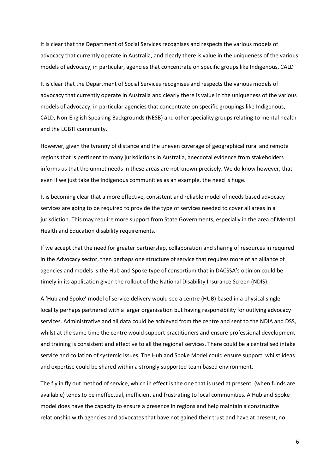It is clear that the Department of Social Services recognises and respects the various models of advocacy that currently operate in Australia, and clearly there is value in the uniqueness of the various models of advocacy, in particular, agencies that concentrate on specific groups like Indigenous, CALD

It is clear that the Department of Social Services recognises and respects the various models of advocacy that currently operate in Australia and clearly there is value in the uniqueness of the various models of advocacy, in particular agencies that concentrate on specific groupings like Indigenous, CALD, Non-English Speaking Backgrounds (NESB) and other speciality groups relating to mental health and the LGBTI community.

However, given the tyranny of distance and the uneven coverage of geographical rural and remote regions that is pertinent to many jurisdictions in Australia, anecdotal evidence from stakeholders informs us that the unmet needs in these areas are not known precisely. We do know however, that even if we just take the Indigenous communities as an example, the need is huge.

It is becoming clear that a more effective, consistent and reliable model of needs based advocacy services are going to be required to provide the type of services needed to cover all areas in a jurisdiction. This may require more support from State Governments, especially in the area of Mental Health and Education disability requirements.

If we accept that the need for greater partnership, collaboration and sharing of resources in required in the Advocacy sector, then perhaps one structure of service that requires more of an alliance of agencies and models is the Hub and Spoke type of consortium that in DACSSA's opinion could be timely in its application given the rollout of the National Disability Insurance Screen (NDIS).

A 'Hub and Spoke' model of service delivery would see a centre (HUB) based in a physical single locality perhaps partnered with a larger organisation but having responsibility for outlying advocacy services. Administrative and all data could be achieved from the centre and sent to the NDIA and DSS, whilst at the same time the centre would support practitioners and ensure professional development and training is consistent and effective to all the regional services. There could be a centralised intake service and collation of systemic issues. The Hub and Spoke Model could ensure support, whilst ideas and expertise could be shared within a strongly supported team based environment.

The fly in fly out method of service, which in effect is the one that is used at present, (when funds are available) tends to be ineffectual, inefficient and frustrating to local communities. A Hub and Spoke model does have the capacity to ensure a presence in regions and help maintain a constructive relationship with agencies and advocates that have not gained their trust and have at present, no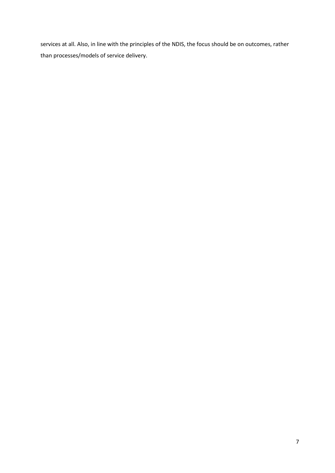services at all. Also, in line with the principles of the NDIS, the focus should be on outcomes, rather than processes/models of service delivery.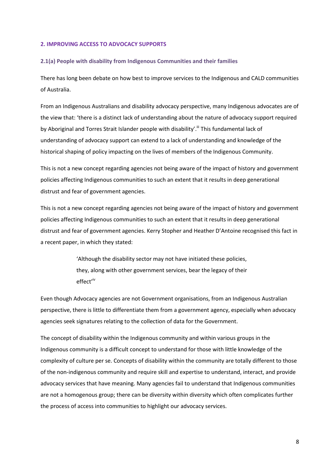### **2. IMPROVING ACCESS TO ADVOCACY SUPPORTS**

#### **2.1(a) People with disability from Indigenous Communities and their families**

There has long been debate on how best to improve services to the Indigenous and CALD communities of Australia.

From an Indigenous Australians and disability advocacy perspective, many Indigenous advocates are of the view that: 'there is a distinct lack of understanding about the nature of advocacy support required by Aboriginal and Torres Strait Islander people with disability'.<sup>"</sup> This fundamental lack of understanding of advocacy support can extend to a lack of understanding and knowledge of the historical shaping of policy impacting on the lives of members of the Indigenous Community.

This is not a new concept regarding agencies not being aware of the impact of history and government policies affecting Indigenous communities to such an extent that it results in deep generational distrust and fear of government agencies.

This is not a new concept regarding agencies not being aware of the impact of history and government policies affecting Indigenous communities to such an extent that it results in deep generational distrust and fear of government agencies. Kerry Stopher and Heather D'Antoine recognised this fact in a recent paper, in which they stated:

> 'Although the disability sector may not have initiated these policies, they, along with other government services, bear the legacy of their effect'iv

Even though Advocacy agencies are not Government organisations, from an Indigenous Australian perspective, there is little to differentiate them from a government agency, especially when advocacy agencies seek signatures relating to the collection of data for the Government.

The concept of disability within the Indigenous community and within various groups in the Indigenous community is a difficult concept to understand for those with little knowledge of the complexity of culture per se. Concepts of disability within the community are totally different to those of the non-indigenous community and require skill and expertise to understand, interact, and provide advocacy services that have meaning. Many agencies fail to understand that Indigenous communities are not a homogenous group; there can be diversity within diversity which often complicates further the process of access into communities to highlight our advocacy services.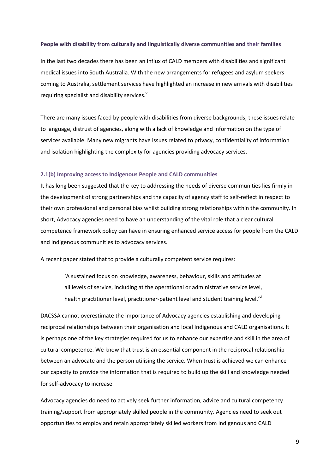#### **People with disability from culturally and linguistically diverse communities and their families**

In the last two decades there has been an influx of CALD members with disabilities and significant medical issues into South Australia. With the new arrangements for refugees and asylum seekers coming to Australia, settlement services have highlighted an increase in new arrivals with disabilities requiring specialist and disability services.<sup>v</sup>

There are many issues faced by people with disabilities from diverse backgrounds, these issues relate to language, distrust of agencies, along with a lack of knowledge and information on the type of services available. Many new migrants have issues related to privacy, confidentiality of information and isolation highlighting the complexity for agencies providing advocacy services.

## **2.1(b) Improving access to Indigenous People and CALD communities**

It has long been suggested that the key to addressing the needs of diverse communities lies firmly in the development of strong partnerships and the capacity of agency staff to self-reflect in respect to their own professional and personal bias whilst building strong relationships within the community. In short, Advocacy agencies need to have an understanding of the vital role that a clear cultural competence framework policy can have in ensuring enhanced service access for people from the CALD and Indigenous communities to advocacy services.

A recent paper stated that to provide a culturally competent service requires:

'A sustained focus on knowledge, awareness, behaviour, skills and attitudes at all levels of service, including at the operational or administrative service level, health practitioner level, practitioner-patient level and student training level.'<sup>vi</sup>

DACSSA cannot overestimate the importance of Advocacy agencies establishing and developing reciprocal relationships between their organisation and local Indigenous and CALD organisations. It is perhaps one of the key strategies required for us to enhance our expertise and skill in the area of cultural competence. We know that trust is an essential component in the reciprocal relationship between an advocate and the person utilising the service. When trust is achieved we can enhance our capacity to provide the information that is required to build up the skill and knowledge needed for self-advocacy to increase.

Advocacy agencies do need to actively seek further information, advice and cultural competency training/support from appropriately skilled people in the community. Agencies need to seek out opportunities to employ and retain appropriately skilled workers from Indigenous and CALD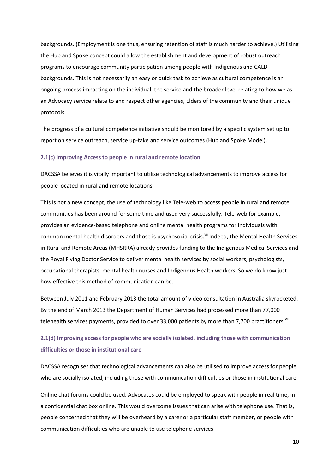backgrounds. (Employment is one thus, ensuring retention of staff is much harder to achieve.) Utilising the Hub and Spoke concept could allow the establishment and development of robust outreach programs to encourage community participation among people with Indigenous and CALD backgrounds. This is not necessarily an easy or quick task to achieve as cultural competence is an ongoing process impacting on the individual, the service and the broader level relating to how we as an Advocacy service relate to and respect other agencies, Elders of the community and their unique protocols.

The progress of a cultural competence initiative should be monitored by a specific system set up to report on service outreach, service up-take and service outcomes (Hub and Spoke Model).

## **2.1(c) Improving Access to people in rural and remote location**

DACSSA believes it is vitally important to utilise technological advancements to improve access for people located in rural and remote locations.

This is not a new concept, the use of technology like Tele-web to access people in rural and remote communities has been around for some time and used very successfully. Tele-web for example, provides an evidence-based telephone and online mental health programs for individuals with common mental health disorders and those is psychosocial crisis.<sup>Vii</sup> Indeed, the Mental Health Services in Rural and Remote Areas (MHSRRA) already provides funding to the Indigenous Medical Services and the Royal Flying Doctor Service to deliver mental health services by social workers, psychologists, occupational therapists, mental health nurses and Indigenous Health workers. So we do know just how effective this method of communication can be.

Between July 2011 and February 2013 the total amount of video consultation in Australia skyrocketed. By the end of March 2013 the Department of Human Services had processed more than 77,000 telehealth services payments, provided to over 33,000 patients by more than 7,700 practitioners.<sup>VIII</sup>

# **2.1(d) Improving access for people who are socially isolated, including those with communication difficulties or those in institutional care**

DACSSA recognises that technological advancements can also be utilised to improve access for people who are socially isolated, including those with communication difficulties or those in institutional care.

Online chat forums could be used. Advocates could be employed to speak with people in real time, in a confidential chat box online. This would overcome issues that can arise with telephone use. That is, people concerned that they will be overheard by a carer or a particular staff member, or people with communication difficulties who are unable to use telephone services.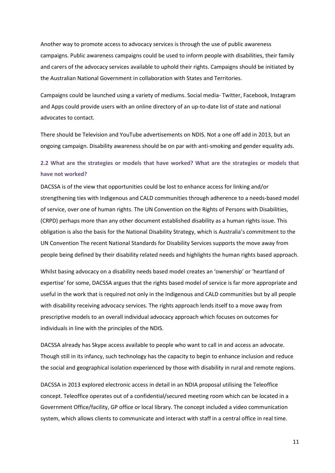Another way to promote access to advocacy services is through the use of public awareness campaigns. Public awareness campaigns could be used to inform people with disabilities, their family and carers of the advocacy services available to uphold their rights. Campaigns should be initiated by the Australian National Government in collaboration with States and Territories.

Campaigns could be launched using a variety of mediums. Social media- Twitter, Facebook, Instagram and Apps could provide users with an online directory of an up-to-date list of state and national advocates to contact.

There should be Television and YouTube advertisements on NDIS. Not a one off add in 2013, but an ongoing campaign. Disability awareness should be on par with anti-smoking and gender equality ads.

# **2.2 What are the strategies or models that have worked? What are the strategies or models that have not worked?**

DACSSA is of the view that opportunities could be lost to enhance access for linking and/or strengthening ties with Indigenous and CALD communities through adherence to a needs-based model of service, over one of human rights. The UN Convention on the Rights of Persons with Disabilities, (CRPD) perhaps more than any other document established disability as a human rights issue. This obligation is also the basis for the National Disability Strategy, which is Australia's commitment to the UN Convention The recent National Standards for Disability Services supports the move away from people being defined by their disability related needs and highlights the human rights based approach.

Whilst basing advocacy on a disability needs based model creates an 'ownership' or 'heartland of expertise' for some, DACSSA argues that the rights based model of service is far more appropriate and useful in the work that is required not only in the Indigenous and CALD communities but by all people with disability receiving advocacy services. The rights approach lends itself to a move away from prescriptive models to an overall individual advocacy approach which focuses on outcomes for individuals in line with the principles of the NDIS.

DACSSA already has Skype access available to people who want to call in and access an advocate. Though still in its infancy, such technology has the capacity to begin to enhance inclusion and reduce the social and geographical isolation experienced by those with disability in rural and remote regions.

DACSSA in 2013 explored electronic access in detail in an NDIA proposal utilising the Teleoffice concept. Teleoffice operates out of a confidential/secured meeting room which can be located in a Government Office/facility, GP office or local library. The concept included a video communication system, which allows clients to communicate and interact with staff in a central office in real time.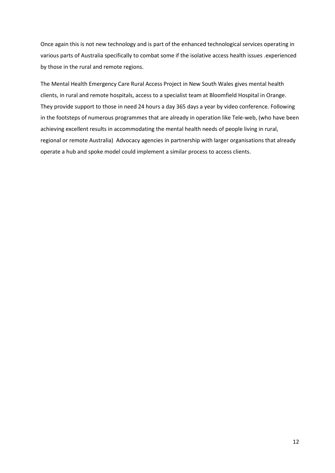Once again this is not new technology and is part of the enhanced technological services operating in various parts of Australia specifically to combat some if the isolative access health issues .experienced by those in the rural and remote regions.

The Mental Health Emergency Care Rural Access Project in New South Wales gives mental health clients, in rural and remote hospitals, access to a specialist team at Bloomfield Hospital in Orange. They provide support to those in need 24 hours a day 365 days a year by video conference. Following in the footsteps of numerous programmes that are already in operation like Tele-web, (who have been achieving excellent results in accommodating the mental health needs of people living in rural, regional or remote Australia) Advocacy agencies in partnership with larger organisations that already operate a hub and spoke model could implement a similar process to access clients.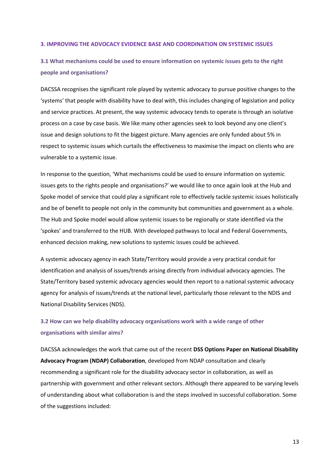#### **3. IMPROVING THE ADVOCACY EVIDENCE BASE AND COORDINATION ON SYSTEMIC ISSUES**

# **3.1 What mechanisms could be used to ensure information on systemic issues gets to the right people and organisations?**

DACSSA recognises the significant role played by systemic advocacy to pursue positive changes to the 'systems' that people with disability have to deal with, this includes changing of legislation and policy and service practices. At present, the way systemic advocacy tends to operate is through an isolative process on a case by case basis. We like many other agencies seek to look beyond any one client's issue and design solutions to fit the biggest picture. Many agencies are only funded about 5% in respect to systemic issues which curtails the effectiveness to maximise the impact on clients who are vulnerable to a systemic issue.

In response to the question, 'What mechanisms could be used to ensure information on systemic issues gets to the rights people and organisations?' we would like to once again look at the Hub and Spoke model of service that could play a significant role to effectively tackle systemic issues holistically and be of benefit to people not only in the community but communities and government as a whole. The Hub and Spoke model would allow systemic issues to be regionally or state identified via the 'spokes' and transferred to the HUB. With developed pathways to local and Federal Governments, enhanced decision making, new solutions to systemic issues could be achieved.

A systemic advocacy agency in each State/Territory would provide a very practical conduit for identification and analysis of issues/trends arising directly from individual advocacy agencies. The State/Territory based systemic advocacy agencies would then report to a national systemic advocacy agency for analysis of issues/trends at the national level, particularly those relevant to the NDIS and National Disability Services (NDS).

## **3.2 How can we help disability advocacy organisations work with a wide range of other organisations with similar aims?**

DACSSA acknowledges the work that came out of the recent **DSS Options Paper on National Disability Advocacy Program (NDAP) Collaboration**, developed from NDAP consultation and clearly recommending a significant role for the disability advocacy sector in collaboration, as well as partnership with government and other relevant sectors. Although there appeared to be varying levels of understanding about what collaboration is and the steps involved in successful collaboration. Some of the suggestions included: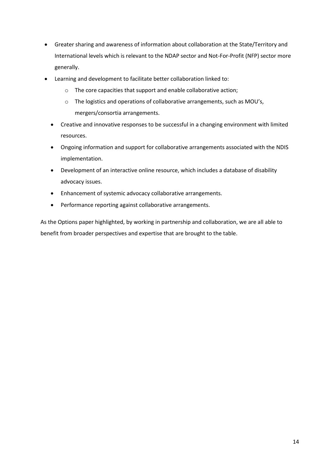- Greater sharing and awareness of information about collaboration at the State/Territory and International levels which is relevant to the NDAP sector and Not-For-Profit (NFP) sector more generally.
- Learning and development to facilitate better collaboration linked to:
	- o The core capacities that support and enable collaborative action;
	- o The logistics and operations of collaborative arrangements, such as MOU's, mergers/consortia arrangements.
	- Creative and innovative responses to be successful in a changing environment with limited resources.
	- Ongoing information and support for collaborative arrangements associated with the NDIS implementation.
	- Development of an interactive online resource, which includes a database of disability advocacy issues.
	- Enhancement of systemic advocacy collaborative arrangements.
	- Performance reporting against collaborative arrangements.

As the Options paper highlighted, by working in partnership and collaboration, we are all able to benefit from broader perspectives and expertise that are brought to the table.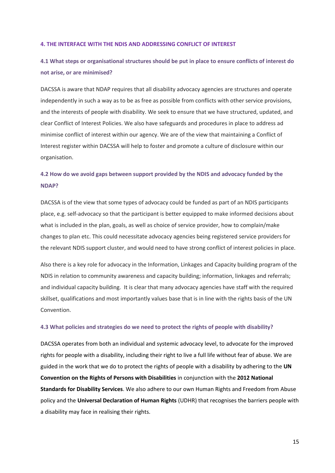#### **4. THE INTERFACE WITH THE NDIS AND ADDRESSING CONFLICT OF INTEREST**

## **4.1 What steps or organisational structures should be put in place to ensure conflicts of interest do not arise, or are minimised?**

DACSSA is aware that NDAP requires that all disability advocacy agencies are structures and operate independently in such a way as to be as free as possible from conflicts with other service provisions, and the interests of people with disability. We seek to ensure that we have structured, updated, and clear Conflict of Interest Policies. We also have safeguards and procedures in place to address ad minimise conflict of interest within our agency. We are of the view that maintaining a Conflict of Interest register within DACSSA will help to foster and promote a culture of disclosure within our organisation.

## **4.2 How do we avoid gaps between support provided by the NDIS and advocacy funded by the NDAP?**

DACSSA is of the view that some types of advocacy could be funded as part of an NDIS participants place, e.g. self-advocacy so that the participant is better equipped to make informed decisions about what is included in the plan, goals, as well as choice of service provider, how to complain/make changes to plan etc. This could necessitate advocacy agencies being registered service providers for the relevant NDIS support cluster, and would need to have strong conflict of interest policies in place.

Also there is a key role for advocacy in the Information, Linkages and Capacity building program of the NDIS in relation to community awareness and capacity building; information, linkages and referrals; and individual capacity building. It is clear that many advocacy agencies have staff with the required skillset, qualifications and most importantly values base that is in line with the rights basis of the UN Convention.

## **4.3 What policies and strategies do we need to protect the rights of people with disability?**

DACSSA operates from both an individual and systemic advocacy level, to advocate for the improved rights for people with a disability, including their right to live a full life without fear of abuse. We are guided in the work that we do to protect the rights of people with a disability by adhering to the **UN Convention on the Rights of Persons with Disabilities** in conjunction with the **2012 National Standards for Disability Services**. We also adhere to our own Human Rights and Freedom from Abuse policy and the **Universal Declaration of Human Rights** (UDHR) that recognises the barriers people with a disability may face in realising their rights.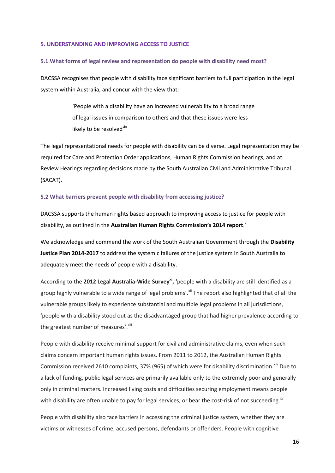#### **5. UNDERSTANDING AND IMPROVING ACCESS TO JUSTICE**

### **5.1 What forms of legal review and representation do people with disability need most?**

DACSSA recognises that people with disability face significant barriers to full participation in the legal system within Australia, and concur with the view that:

> 'People with a disability have an increased vulnerability to a broad range of legal issues in comparison to others and that these issues were less likely to be resolved'ix

The legal representational needs for people with disability can be diverse. Legal representation may be required for Care and Protection Order applications, Human Rights Commission hearings, and at Review Hearings regarding decisions made by the South Australian Civil and Administrative Tribunal (SACAT).

## **5.2 What barriers prevent people with disability from accessing justice?**

DACSSA supports the human rights based approach to improving access to justice for people with disability, as outlined in the **Australian Human Rights Commission's 2014 report**. x

We acknowledge and commend the work of the South Australian Government through the **Disability Justice Plan 2014-2017** to address the systemic failures of the justice system in South Australia to adequately meet the needs of people with a disability.

According to the **2012 Legal Australia-Wide Surveyxi, '**people with a disability are still identified as a group highly vulnerable to a wide range of legal problems'. Xii The report also highlighted that of all the vulnerable groups likely to experience substantial and multiple legal problems in all jurisdictions, 'people with a disability stood out as the disadvantaged group that had higher prevalence according to the greatest number of measures'. Xiii

People with disability receive minimal support for civil and administrative claims, even when such claims concern important human rights issues. From 2011 to 2012, the Australian Human Rights Commission received 2610 complaints, 37% (965) of which were for disability discrimination. Xiv Due to a lack of funding, public legal services are primarily available only to the extremely poor and generally only in criminal matters. Increased living costs and difficulties securing employment means people with disability are often unable to pay for legal services, or bear the cost-risk of not succeeding. $^{x}$ 

People with disability also face barriers in accessing the criminal justice system, whether they are victims or witnesses of crime, accused persons, defendants or offenders. People with cognitive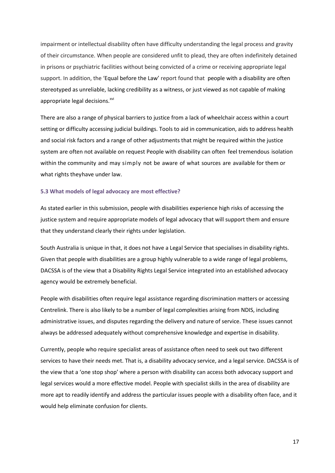impairment or intellectual disability often have difficulty understanding the legal process and gravity of their circumstance. When people are considered unfit to plead, they are often indefinitely detained in prisons or psychiatric facilities without being convicted of a crime or receiving appropriate legal support. In addition, the 'Equal before the Law' report found that people with a disability are often stereotyped as unreliable, lacking credibility as a witness, or just viewed as not capable of making appropriate legal decisions.<sup>xvi</sup>

There are also a range of physical barriers to justice from a lack of wheelchair access within a court setting or difficulty accessing judicial buildings. Tools to aid in communication, aids to address health and social risk factors and a range of other adjustments that might be required within the justice system are often not available on request People with disability can often feel tremendous isolation within the community and may simply not be aware of what sources are available for them or what rights theyhave under law.

## **5.3 What models of legal advocacy are most effective?**

As stated earlier in this submission, people with disabilities experience high risks of accessing the justice system and require appropriate models of legal advocacy that will support them and ensure that they understand clearly their rights under legislation.

South Australia is unique in that, it does not have a Legal Service that specialises in disability rights. Given that people with disabilities are a group highly vulnerable to a wide range of legal problems, DACSSA is of the view that a Disability Rights Legal Service integrated into an established advocacy agency would be extremely beneficial.

People with disabilities often require legal assistance regarding discrimination matters or accessing Centrelink. There is also likely to be a number of legal complexities arising from NDIS, including administrative issues, and disputes regarding the delivery and nature of service. These issues cannot always be addressed adequately without comprehensive knowledge and expertise in disability.

Currently, people who require specialist areas of assistance often need to seek out two different services to have their needs met. That is, a disability advocacy service, and a legal service. DACSSA is of the view that a 'one stop shop' where a person with disability can access both advocacy support and legal services would a more effective model. People with specialist skills in the area of disability are more apt to readily identify and address the particular issues people with a disability often face, and it would help eliminate confusion for clients.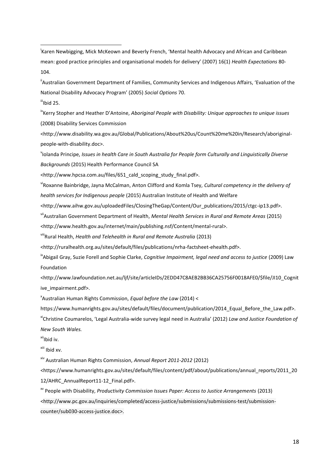i Karen Newbigging, Mick McKeown and Beverly French, 'Mental health Advocacy and African and Caribbean mean: good practice principles and organisational models for delivery' (2007) 16(1) *Health Expectations* 80- 104.

"Australian Government Department of Families, Community Services and Indigenous Affairs, 'Evaluation of the National Disability Advocacy Program' (2005) *Social Options* 70.

 $\ddot{ii}$ Ibid 25.

1

<sup>iv</sup>Kerry Stopher and Heather D'Antoine, *Aboriginal People with Disability: Unique approaches to unique issues* (2008) Disability Services Commission

<http://www.disability.wa.gov.au/Global/Publications/About%20us/Count%20me%20in/Research/aboriginalpeople-with-disability.doc>.

v Iolanda Principe, *Issues in health Care in South Australia for People form Culturally and Linguistically Diverse Backgrounds* (2015) Health Performance Council SA

<http://www.hpcsa.com.au/files/651\_cald\_scoping\_study\_final.pdf>.

<sup>vi</sup>Roxanne Bainbridge, Jayna McCalman, Anton Clifford and Komla Tsey, *Cultural competency in the delivery of health services for Indigenous people* (2015) Australian Institute of Health and Welfare

<http://www.aihw.gov.au/uploadedFiles/ClosingTheGap/Content/Our\_publications/2015/ctgc-ip13.pdf>.

viiAustralian Government Department of Health, *Mental Health Services in Rural and Remote Areas* (2015)

<http://www.health.gov.au/internet/main/publishing.nsf/Content/mental-rural>.

viiiRural Health, *Health and Telehealth in Rural and Remote Australia* (2013)

<http://ruralhealth.org.au/sites/default/files/publications/nrha-factsheet-ehealth.pdf>.

<sup>ix</sup>Abigail Gray, Suzie Forell and Sophie Clarke, *Cognitive Impairment, legal need and access to justice* (2009) Law Foundation

<http://www.lawfoundation.net.au/ljf/site/articleIDs/2EDD47C8AEB2BB36CA25756F0018AFE0/\$file/JI10\_Cognit ive\_impairment.pdf>.

x Australian Human Rights Commission, *Equal before the Law* (2014) <

https://www.humanrights.gov.au/sites/default/files/document/publication/2014 Equal Before the Law.pdf>.

xiChristine Coumarelos, 'Legal Australia-wide survey legal need in Australia' (2012) *Law and Justice Foundation of New South Wales.*

<sup>xii</sup>lbid iv.

xiii Ibid xv.

xiv Australian Human Rights Commission, *Annual Report 2011-2012* (2012)

<https://www.humanrights.gov.au/sites/default/files/content/pdf/about/publications/annual\_reports/2011\_20 12/AHRC\_AnnualReport11-12\_Final.pdf>.

xv People with Disability, *Productivity Commission Issues Paper: Access to Justice Arrangements* (2013) <http://www.pc.gov.au/inquiries/completed/access-justice/submissions/submissions-test/submissioncounter/sub030-access-justice.doc>.